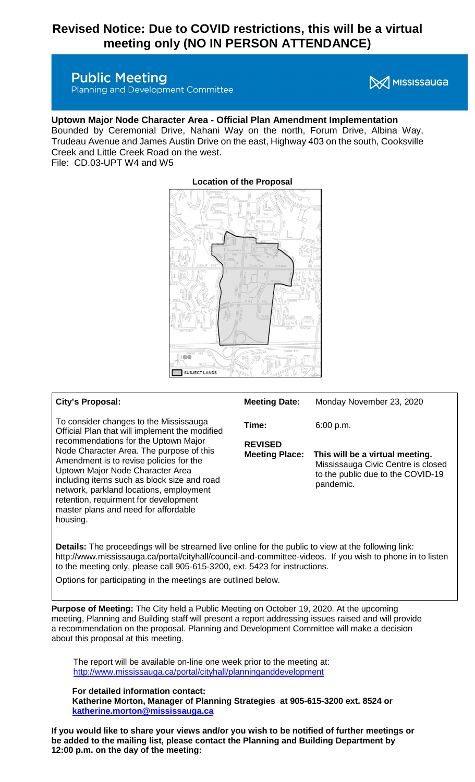# **Revised Notice: Due to COVID restrictions, this will be a virtual meeting only (NO IN PERSON ATTENDANCE)**

# **Public Meeting**

Planning and Development Committee

# **X** MISSISSAUGA

### **Uptown Major Node Character Area - Official Plan Amendment Implementation**

Bounded by Ceremonial Drive, Nahani Way on the north, Forum Drive, Albina Way, Trudeau Avenue and James Austin Drive on the east, Highway 403 on the south, Cooksville Creek and Little Creek Road on the west.

File: CD.03-UPT W4 and W5



## **Location of the Proposal**

#### **City's Proposal:**

To consider changes to the Mississauga Official Plan that will implement the modified recommendations for the Uptown Major Node Character Area. The purpose of this Amendment is to revise policies for the Uptown Major Node Character Area including items such as block size and road network, parkland locations, employment retention, requirment for development master plans and need for affordable housing.

| <b>Meeting Date:</b>                    | Monday November 23, 2020                                                                                                |
|-----------------------------------------|-------------------------------------------------------------------------------------------------------------------------|
| Time:                                   | 6:00 p.m.                                                                                                               |
| <b>REVISED</b><br><b>Meeting Place:</b> | This will be a virtual meeting.<br>Mississauga Civic Centre is closed<br>to the public due to the COVID-19<br>pandemic. |

**Details:** The proceedings will be streamed live online for the public to view at the following link: http://www.mississauga.ca/portal/cityhall/council-and-committee-videos. If you wish to phone in to listen to the meeting only, please call 905-615-3200, ext. 5423 for instructions.

Options for participating in the meetings are outlined below.

**Purpose of Meeting:** The City held a Public Meeting on October 19, 2020. At the upcoming meeting, Planning and Building staff will present a report addressing issues raised and will provide a recommendation on the proposal. Planning and Development Committee will make a decision about this proposal at this meeting.

The report will be available on-line one week prior to the meeting at: <http://www.mississauga.ca/portal/cityhall/planninganddevelopment>

**For detailed information contact:**

**Katherine Morton, Manager of Planning Strategies at 905-615-3200 ext. 8524 or [katherine.morton@mississauga.ca](mailto:katherine.morton@mississauga.ca)**

**If you would like to share your views and/or you wish to be notified of further meetings or be added to the mailing list, please contact the Planning and Building Department by 12:00 p.m. on the day of the meeting:**